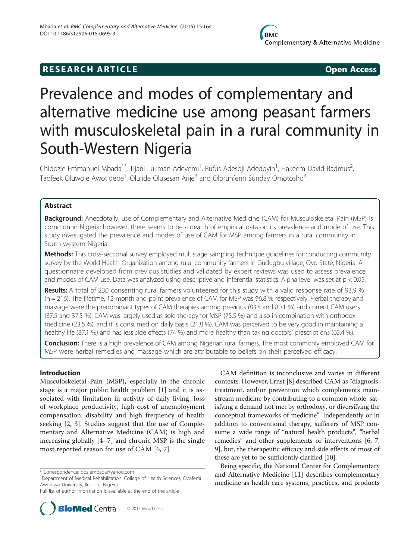## **RESEARCH ARTICLE Example 2014 CONSIDERING CONSIDERING CONSIDERING CONSIDERING CONSIDERING CONSIDERING CONSIDERING CONSIDERING CONSIDERING CONSIDERING CONSIDERING CONSIDERING CONSIDERING CONSIDERING CONSIDERING CONSIDE**

# Prevalence and modes of complementary and alternative medicine use among peasant farmers with musculoskeletal pain in a rural community in South-Western Nigeria

Chidozie Emmanuel Mbada<sup>1\*</sup>, Tijani Lukman Adeyemi<sup>1</sup>, Rufus Adesoji Adedoyin<sup>1</sup>, Hakeem David Badmus<sup>2</sup> , Taofeek Oluwole Awotidebe<sup>1</sup>, Olujide Olusesan Arije<sup>3</sup> and Olorunfemi Sunday Omotosho<sup>3</sup>

## Abstract

Background: Anecdotally, use of Complementary and Alternative Medicine (CAM) for Musculoskeletal Pain (MSP) is common in Nigeria; however, there seems to be a dearth of empirical data on its prevalence and mode of use. This study investigated the prevalence and modes of use of CAM for MSP among farmers in a rural community in South-western Nigeria.

Methods: This cross-sectional survey employed multistage sampling technique quidelines for conducting community survey by the World Health Organization among rural community farmers in Gudugbu village, Oyo State, Nigeria. A questionnaire developed from previous studies and validated by expert reviews was used to assess prevalence and modes of CAM use. Data was analyzed using descriptive and inferential statistics. Alpha level was set at  $p < 0.05$ .

Results: A total of 230 consenting rural farmers volunteered for this study with a valid response rate of 93.9 % (n = 216). The lifetime, 12-month and point prevalence of CAM for MSP was 96.8 % respectively. Herbal therapy and massage were the predominant types of CAM therapies among previous (83.8 and 80.1 %) and current CAM users (37.5 and 37.5 %). CAM was largely used as sole therapy for MSP (75.5 %) and also in combination with orthodox medicine (23.6 %), and it is consumed on daily basis (21.8 %). CAM was perceived to be very good in maintaining a healthy life (87.1 %) and has less side effects (74 %) and more healthy than taking doctors' prescriptions (63.4 %).

Conclusion: There is a high prevalence of CAM among Nigerian rural farmers. The most commonly employed CAM for MSP were herbal remedies and massage which are attributable to beliefs on their perceived efficacy.

## Introduction

Musculoskeletal Pain (MSP), especially in the chronic stage is a major public health problem [[1\]](#page-5-0) and it is associated with limitation in activity of daily living, loss of workplace productivity, high cost of unemployment compensation, disability and high frequency of health seeking [[2, 3](#page-5-0)]. Studies suggest that the use of Complementary and Alternative Medicine (CAM) is high and increasing globally [[4](#page-5-0)–[7](#page-5-0)] and chronic MSP is the single most reported reason for use of CAM [[6, 7\]](#page-5-0).

Full list of author information is available at the end of the article



CAM definition is inconclusive and varies in different contexts. However, Ernst [\[8](#page-5-0)] described CAM as "diagnosis, treatment, and/or prevention which complements mainstream medicine by contributing to a common whole, satisfying a demand not met by orthodoxy, or diversifying the conceptual frameworks of medicine". Independently or in addition to conventional therapy, sufferers of MSP consume a wide range of "natural health products", "herbal remedies" and other supplements or interventions [\[6](#page-5-0), [7](#page-5-0), [9\]](#page-5-0), but, the therapeutic efficacy and side effects of most of these are yet to be sufficiently clarified [[10\]](#page-5-0).

Being specific, the National Center for Complementary and Alternative Medicine [\[11](#page-5-0)] describes complementary medicine as health care systems, practices, and products

<sup>\*</sup> Correspondence: [doziembada@yahoo.com](mailto:doziembada@yahoo.com) <sup>1</sup>

Department of Medical Rehabilitation, College of Health Sciences, Obafemi Awolowo University, Ile – Ife, Nigeria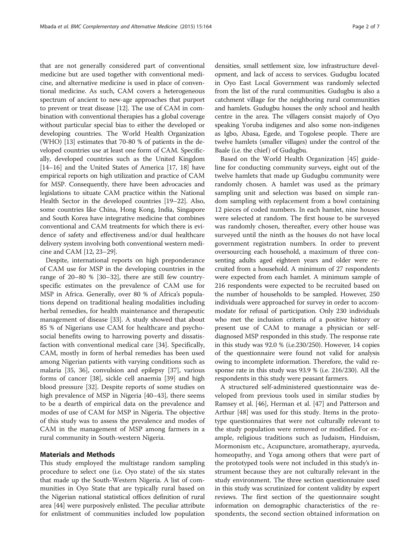that are not generally considered part of conventional medicine but are used together with conventional medicine, and alternative medicine is used in place of conventional medicine. As such, CAM covers a heterogeneous spectrum of ancient to new-age approaches that purport to prevent or treat disease [[12](#page-5-0)]. The use of CAM in combination with conventional therapies has a global coverage without particular special bias to either the developed or developing countries. The World Health Organization (WHO) [\[13\]](#page-5-0) estimates that 70-80 % of patients in the developed countries use at least one form of CAM. Specifically, developed countries such as the United Kingdom [[14](#page-5-0)–[16\]](#page-5-0) and the United States of America [[17](#page-5-0), [18](#page-5-0)] have empirical reports on high utilization and practice of CAM for MSP. Consequently, there have been advocacies and legislations to situate CAM practice within the National Health Sector in the developed countries [[19](#page-5-0)–[22\]](#page-6-0). Also, some countries like China, Hong Kong, India, Singapore and South Korea have integrative medicine that combines conventional and CAM treatments for which there is evidence of safety and effectiveness and/or dual healthcare delivery system involving both conventional western medicine and CAM [[12](#page-5-0), [23](#page-6-0)–[29](#page-6-0)].

Despite, international reports on high preponderance of CAM use for MSP in the developing countries in the range of 20–80 % [\[30](#page-6-0)–[32\]](#page-6-0), there are still few countryspecific estimates on the prevalence of CAM use for MSP in Africa. Generally, over 80 % of Africa's populations depend on traditional healing modalities including herbal remedies, for health maintenance and therapeutic management of disease [\[33](#page-6-0)]. A study showed that about 85 % of Nigerians use CAM for healthcare and psychosocial benefits owing to harrowing poverty and dissatisfaction with conventional medical care [\[34](#page-6-0)]. Specifically, CAM, mostly in form of herbal remedies has been used among Nigerian patients with varying conditions such as malaria [[35, 36\]](#page-6-0), convulsion and epilepsy [\[37](#page-6-0)], various forms of cancer [[38\]](#page-6-0), sickle cell anaemia [\[39](#page-6-0)] and high blood pressure [[32\]](#page-6-0). Despite reports of some studies on high prevalence of MSP in Nigeria [\[40](#page-6-0)–[43\]](#page-6-0), there seems to be a dearth of empirical data on the prevalence and modes of use of CAM for MSP in Nigeria. The objective of this study was to assess the prevalence and modes of CAM in the management of MSP among farmers in a rural community in South-western Nigeria.

## Materials and Methods

This study employed the multistage random sampling procedure to select one (i.e. Oyo state) of the six states that made up the South-Western Nigeria. A list of communities in Oyo State that are typically rural based on the Nigerian national statistical offices definition of rural area [\[44](#page-6-0)] were purposively enlisted. The peculiar attribute for enlistment of communities included low population

densities, small settlement size, low infrastructure development, and lack of access to services. Gudugbu located in Oyo East Local Government was randomly selected from the list of the rural communities. Gudugbu is also a catchment village for the neighboring rural communities and hamlets. Gudugbu houses the only school and health centre in the area. The villagers consist majorly of Oyo speaking Yoruba indigenes and also some non-indigenes as Igbo, Abasa, Egede, and Togolese people. There are twelve hamlets (smaller villages) under the control of the Baale (i.e. the chief) of Gudugbu.

Based on the World Health Organization [[45](#page-6-0)] guideline for conducting community surveys, eight out of the twelve hamlets that made up Gudugbu community were randomly chosen. A hamlet was used as the primary sampling unit and selection was based on simple random sampling with replacement from a bowl containing 12 pieces of coded numbers. In each hamlet, nine houses were selected at random. The first house to be surveyed was randomly chosen, thereafter, every other house was surveyed until the ninth as the houses do not have local government registration numbers. In order to prevent oversourcing each household, a maximum of three consenting adults aged eighteen years and older were recruited from a household. A minimum of 27 respondents were expected from each hamlet. A minimum sample of 216 respondents were expected to be recruited based on the number of households to be sampled. However, 250 individuals were approached for survey in order to accommodate for refusal of participation. Only 230 individuals who met the inclusion criteria of a positive history or present use of CAM to manage a physician or selfdiagnosed MSP responded in this study. The response rate in this study was 92.0 % (i.e.230/250). However, 14 copies of the questionnaire were found not valid for analysis owing to incomplete information. Therefore, the valid response rate in this study was 93.9 % (i.e. 216/230). All the respondents in this study were peasant farmers.

A structured self-administered questionnaire was developed from previous tools used in similar studies by Ramsey et al. [[46](#page-6-0)], Herman et al. [\[47\]](#page-6-0) and Patterson and Arthur [[48](#page-6-0)] was used for this study. Items in the prototype questionnaires that were not culturally relevant to the study population were removed or modified. For example, religious traditions such as Judaism, Hinduism, Mormonism etc., Acupuncture, aromatherapy, ayurveda, homeopathy, and Yoga among others that were part of the prototyped tools were not included in this study's instrument because they are not culturally relevant in the study environment. The three section questionnaire used in this study was scrutinized for content validity by expert reviews. The first section of the questionnaire sought information on demographic characteristics of the respondents, the second section obtained information on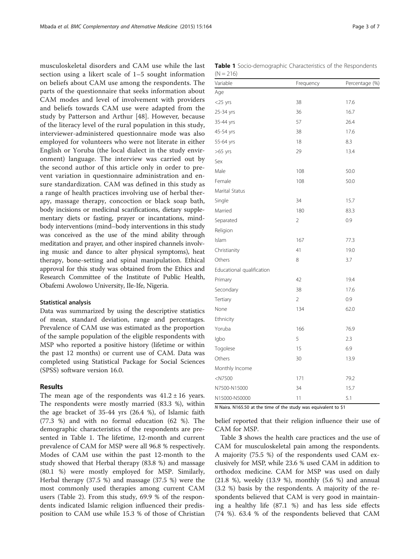musculoskeletal disorders and CAM use while the last section using a likert scale of 1–5 sought information on beliefs about CAM use among the respondents. The parts of the questionnaire that seeks information about CAM modes and level of involvement with providers and beliefs towards CAM use were adapted from the study by Patterson and Arthur [[48\]](#page-6-0). However, because of the literacy level of the rural population in this study, interviewer-administered questionnaire mode was also employed for volunteers who were not literate in either English or Yoruba (the local dialect in the study environment) language. The interview was carried out by the second author of this article only in order to prevent variation in questionnaire administration and ensure standardization. CAM was defined in this study as a range of health practices involving use of herbal therapy, massage therapy, concoction or black soap bath, body incisions or medicinal scarifications, dietary supplementary diets or fasting, prayer or incantations, mindbody interventions (mind–body interventions in this study was conceived as the use of the mind ability through meditation and prayer, and other inspired channels involving music and dance to alter physical symptoms), heat therapy, bone-setting and spinal manipulation. Ethical approval for this study was obtained from the Ethics and Research Committee of the Institute of Public Health, Obafemi Awolowo University, Ile-Ife, Nigeria.

## Statistical analysis

Data was summarized by using the descriptive statistics of mean, standard deviation, range and percentages. Prevalence of CAM use was estimated as the proportion of the sample population of the eligible respondents with MSP who reported a positive history (lifetime or within the past 12 months) or current use of CAM. Data was completed using Statistical Package for Social Sciences (SPSS) software version 16.0.

## Results

The mean age of the respondents was  $41.2 \pm 16$  years. The respondents were mostly married (83.3 %), within the age bracket of 35-44 yrs (26.4 %), of Islamic faith (77.3 %) and with no formal education (62 %). The demographic characteristics of the respondents are presented in Table 1. The lifetime, 12-month and current prevalence of CAM for MSP were all 96.8 % respectively. Modes of CAM use within the past 12-month to the study showed that Herbal therapy (83.8 %) and massage (80.1 %) were mostly employed for MSP. Similarly, Herbal therapy (37.5 %) and massage (37.5 %) were the most commonly used therapies among current CAM users (Table [2](#page-3-0)). From this study, 69.9 % of the respondents indicated Islamic religion influenced their predisposition to CAM use while 15.3 % of those of Christian

|             | <b>Table 1</b> Socio-demographic Characteristics of the Respondents |  |  |
|-------------|---------------------------------------------------------------------|--|--|
| $(N = 216)$ |                                                                     |  |  |

| Variable                  | Frequency | Percentage (%) |
|---------------------------|-----------|----------------|
| Age                       |           |                |
| $<$ 25 yrs                | 38        | 17.6           |
| 25-34 yrs                 | 36        | 16.7           |
| 35-44 yrs                 | 57        | 26.4           |
| 45-54 yrs                 | 38        | 17.6           |
| 55-64 yrs                 | 18        | 8.3            |
| $>65$ yrs                 | 29        | 13.4           |
| Sex                       |           |                |
| Male                      | 108       | 50.0           |
| Female                    | 108       | 50.0           |
| Marital Status            |           |                |
| Single                    | 34        | 15.7           |
| Married                   | 180       | 83.3           |
| Separated                 | 2         | 0.9            |
| Religion                  |           |                |
| Islam                     | 167       | 77.3           |
| Christianity              | 41        | 19.0           |
| Others                    | 8         | 3.7            |
| Educational qualification |           |                |
| Primary                   | 42        | 19.4           |
| Secondary                 | 38        | 17.6           |
| Tertiary                  | 2         | 0.9            |
| None                      | 134       | 62.0           |
| Ethnicity                 |           |                |
| Yoruba                    | 166       | 76.9           |
| lgbo                      | 5         | 2.3            |
| Togolese                  | 15        | 6.9            |
| Others                    | 30        | 13.9           |
| Monthly Income            |           |                |
| $<$ N7500                 | 171       | 79.2           |
| N7500-N15000              | 34        | 15.7           |
| N15000-N50000             | 11        | 5.1            |

N Naira. N165.50 at the time of the study was equivalent to \$1

belief reported that their religion influence their use of CAM for MSP.

Table [3](#page-3-0) shows the health care practices and the use of CAM for musculoskeletal pain among the respondents. A majority (75.5 %) of the respondents used CAM exclusively for MSP, while 23.6 % used CAM in addition to orthodox medicine. CAM for MSP was used on daily (21.8 %), weekly (13.9 %), monthly (5.6 %) and annual (3.2 %) basis by the respondents. A majority of the respondents believed that CAM is very good in maintaining a healthy life (87.1 %) and has less side effects (74 %). 63.4 % of the respondents believed that CAM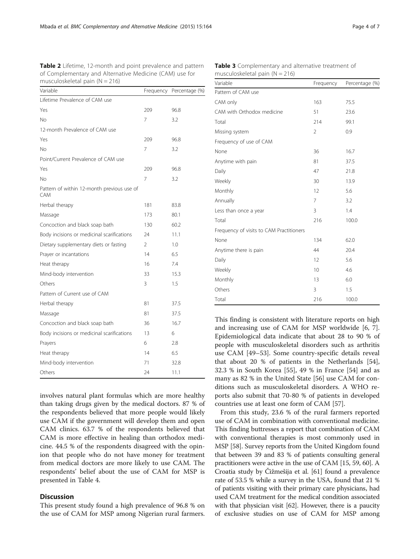<span id="page-3-0"></span>Table 2 Lifetime, 12-month and point prevalence and pattern of Complementary and Alternative Medicine (CAM) use for musculoskeletal pain  $(N = 216)$ 

| Variable                                                 |               | Frequency Percentage (%) |
|----------------------------------------------------------|---------------|--------------------------|
| Lifetime Prevalence of CAM use                           |               |                          |
| Yes                                                      | 209           | 96.8                     |
| No                                                       | 7             | 3.2                      |
| 12-month Prevalence of CAM use                           |               |                          |
| Yes                                                      | 209           | 96.8                     |
| No                                                       | 7             | 3.2                      |
| Point/Current Prevalence of CAM use                      |               |                          |
| Yes                                                      | 209           | 96.8                     |
| No                                                       | 7             | 3.2                      |
| Pattern of within 12-month previous use of<br><b>CAM</b> |               |                          |
| Herbal therapy                                           | 181           | 83.8                     |
| Massage                                                  | 173           | 80.1                     |
| Concoction and black soap bath                           | 130           | 60.2                     |
| Body incisions or medicinal scarifications               | 24            | 11.1                     |
| Dietary supplementary diets or fasting                   | $\mathcal{P}$ | 1.0                      |
| Prayer or incantations                                   | 14            | 6.5                      |
| Heat therapy                                             | 16            | 7.4                      |
| Mind-body intervention                                   | 33            | 15.3                     |
| Others                                                   | 3             | $1.5\,$                  |
| Pattern of Current use of CAM                            |               |                          |
| Herbal therapy                                           | 81            | 37.5                     |
| Massage                                                  | 81            | 37.5                     |
| Concoction and black soap bath                           | 36            | 16.7                     |
| Body incisions or medicinal scarifications               | 13            | 6                        |
| Prayers                                                  | 6             | 2.8                      |
| Heat therapy                                             | 14            | 6.5                      |
| Mind-body intervention                                   | 71            | 32.8                     |
| Others                                                   | 24            | 11.1                     |

involves natural plant formulas which are more healthy than taking drugs given by the medical doctors. 87 % of the respondents believed that more people would likely use CAM if the government will develop them and open CAM clinics. 63.7 % of the respondents believed that CAM is more effective in healing than orthodox medicine. 44.5 % of the respondents disagreed with the opinion that people who do not have money for treatment from medical doctors are more likely to use CAM. The respondents' belief about the use of CAM for MSP is presented in Table [4](#page-4-0).

## **Discussion**

This present study found a high prevalence of 96.8 % on the use of CAM for MSP among Nigerian rural farmers.

| Variable                                 | Frequency      | Percentage (%) |  |  |
|------------------------------------------|----------------|----------------|--|--|
| Pattern of CAM use                       |                |                |  |  |
| CAM only                                 | 163            | 75.5           |  |  |
| CAM with Orthodox medicine               | 51             | 23.6           |  |  |
| Total                                    | 214            | 99.1           |  |  |
| Missing system                           | $\overline{2}$ | 0.9            |  |  |
| Frequency of use of CAM                  |                |                |  |  |
| None                                     | 36             | 16.7           |  |  |
| Anytime with pain                        | 81             | 37.5           |  |  |
| Daily                                    | 47             | 21.8           |  |  |
| Weekly                                   | 30             | 13.9           |  |  |
| Monthly                                  | 12             | 5.6            |  |  |
| Annually                                 | $\overline{7}$ | 3.2            |  |  |
| Less than once a year                    | 3              | 1.4            |  |  |
| Total                                    | 216            | 100.0          |  |  |
| Frequency of visits to CAM Practitioners |                |                |  |  |
| None                                     | 134            | 62.0           |  |  |
| Anytime there is pain                    | 44             | 20.4           |  |  |
| Daily                                    | 12             | 5.6            |  |  |
| Weekly                                   | 10             | 4.6            |  |  |
| Monthly                                  | 13             | 6.0            |  |  |
| Others                                   | 3              | 1.5            |  |  |
| Total                                    | 216            | 100.0          |  |  |

Table 3 Complementary and alternative treatment of

This finding is consistent with literature reports on high and increasing use of CAM for MSP worldwide [[6, 7](#page-5-0)]. Epidemiological data indicate that about 28 to 90 % of people with musculoskeletal disorders such as arthritis use CAM [[49](#page-6-0)–[53](#page-6-0)]. Some country-specific details reveal that about 20 % of patients in the Netherlands [\[54](#page-6-0)], 32.3 % in South Korea [\[55\]](#page-6-0), 49 % in France [[54\]](#page-6-0) and as many as 82 % in the United State [\[56](#page-6-0)] use CAM for conditions such as musculoskeletal disorders. A WHO reports also submit that 70-80 % of patients in developed countries use at least one form of CAM [[57](#page-6-0)].

From this study, 23.6 % of the rural farmers reported use of CAM in combination with conventional medicine. This finding buttresses a report that combination of CAM with conventional therapies is most commonly used in MSP [[58](#page-6-0)]. Survey reports from the United Kingdom found that between 39 and 83 % of patients consulting general practitioners were active in the use of CAM [\[15](#page-5-0), [59](#page-6-0), [60\]](#page-6-0). A Croatia study by Čižmešija et al. [[61](#page-6-0)] found a prevalence rate of 53.5 % while a survey in the USA, found that 21 % of patients visiting with their primary care physicians, had used CAM treatment for the medical condition associated with that physician visit [[62](#page-6-0)]. However, there is a paucity of exclusive studies on use of CAM for MSP among

musculoskeletal pain  $(N = 216)$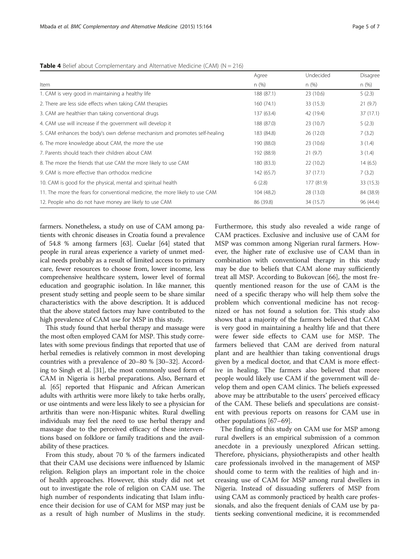<span id="page-4-0"></span>

|                                                                              | Agree      | Undecided  | Disagree  |
|------------------------------------------------------------------------------|------------|------------|-----------|
| Item                                                                         | n(%)       | n (%)      | n (%)     |
| 1. CAM is very good in maintaining a healthy life                            | 188 (87.1) | 23(10.6)   | 5(2.3)    |
| 2. There are less side effects when taking CAM therapies                     | 160(74.1)  | 33 (15.3)  | 21(9.7)   |
| 3. CAM are healthier than taking conventional drugs                          | 137 (63.4) | 42 (19.4)  | 37 (17.1) |
| 4. CAM use will increase if the government will develop it                   | 188 (87.0) | 23 (10.7)  | 5(2.3)    |
| 5. CAM enhances the body's own defense mechanism and promotes self-healing   | 183 (84.8) | 26 (12.0)  | 7(3.2)    |
| 6. The more knowledge about CAM, the more the use                            | 190 (88.0) | 23(10.6)   | 3(1.4)    |
| 7. Parents should teach their children about CAM                             | 192 (88.9) | 21(9.7)    | 3(1.4)    |
| 8. The more the friends that use CAM the more likely to use CAM              | 180 (83.3) | 22 (10.2)  | 14(6.5)   |
| 9. CAM is more effective than orthodox medicine                              | 142 (65.7) | 37 (17.1)  | 7(3.2)    |
| 10. CAM is good for the physical, mental and spiritual health                | 6(2.8)     | 177 (81.9) | 33 (15.3) |
| 11. The more the fears for conventional medicine, the more likely to use CAM | 104 (48.2) | 28 (13.0)  | 84 (38.9) |
| 12. People who do not have money are likely to use CAM                       | 86 (39.8)  | 34 (15.7)  | 96 (44.4) |

farmers. Nonetheless, a study on use of CAM among patients with chronic diseases in Croatia found a prevalence of 54.8 % among farmers [\[63\]](#page-6-0). Cuelar [\[64\]](#page-6-0) stated that people in rural areas experience a variety of unmet medical needs probably as a result of limited access to primary care, fewer resources to choose from, lower income, less comprehensive healthcare system, lower level of formal education and geographic isolation. In like manner, this present study setting and people seem to be share similar characteristics with the above description. It is adduced that the above stated factors may have contributed to the high prevalence of CAM use for MSP in this study.

This study found that herbal therapy and massage were the most often employed CAM for MSP. This study correlates with some previous findings that reported that use of herbal remedies is relatively common in most developing countries with a prevalence of 20–80 % [\[30](#page-6-0)–[32](#page-6-0)]. According to Singh et al. [\[31](#page-6-0)], the most commonly used form of CAM in Nigeria is herbal preparations. Also, Bernard et al. [\[65](#page-6-0)] reported that Hispanic and African American adults with arthritis were more likely to take herbs orally, or use ointments and were less likely to see a physician for arthritis than were non-Hispanic whites. Rural dwelling individuals may feel the need to use herbal therapy and massage due to the perceived efficacy of these interventions based on folklore or family traditions and the availability of these practices.

From this study, about 70 % of the farmers indicated that their CAM use decisions were influenced by Islamic religion. Religion plays an important role in the choice of health approaches. However, this study did not set out to investigate the role of religion on CAM use. The high number of respondents indicating that Islam influence their decision for use of CAM for MSP may just be as a result of high number of Muslims in the study.

Furthermore, this study also revealed a wide range of CAM practices. Exclusive and inclusive use of CAM for MSP was common among Nigerian rural farmers. However, the higher rate of exclusive use of CAM than in combination with conventional therapy in this study may be due to beliefs that CAM alone may sufficiently treat all MSP. According to Bukovcan [[66\]](#page-6-0), the most frequently mentioned reason for the use of CAM is the need of a specific therapy who will help them solve the problem which conventional medicine has not recognized or has not found a solution for. This study also shows that a majority of the farmers believed that CAM is very good in maintaining a healthy life and that there were fewer side effects to CAM use for MSP. The farmers believed that CAM are derived from natural plant and are healthier than taking conventional drugs given by a medical doctor, and that CAM is more effective in healing. The farmers also believed that more people would likely use CAM if the government will develop them and open CAM clinics. The beliefs expressed above may be attributable to the users' perceived efficacy of the CAM. These beliefs and speculations are consistent with previous reports on reasons for CAM use in other populations [\[67](#page-6-0)–[69\]](#page-6-0).

The finding of this study on CAM use for MSP among rural dwellers is an empirical submission of a common anecdote in a previously unexplored African setting. Therefore, physicians, physiotherapists and other health care professionals involved in the management of MSP should come to term with the realities of high and increasing use of CAM for MSP among rural dwellers in Nigeria. Instead of dissuading sufferers of MSP from using CAM as commonly practiced by health care professionals, and also the frequent denials of CAM use by patients seeking conventional medicine, it is recommended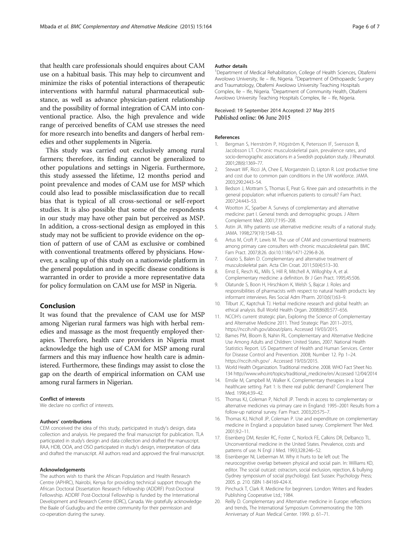<span id="page-5-0"></span>that health care professionals should enquires about CAM use on a habitual basis. This may help to circumvent and minimize the risks of potential interactions of therapeutic interventions with harmful natural pharmaceutical substance, as well as advance physician-patient relationship and the possibility of formal integration of CAM into conventional practice. Also, the high prevalence and wide range of perceived benefits of CAM use stresses the need for more research into benefits and dangers of herbal remedies and other supplements in Nigeria.

This study was carried out exclusively among rural farmers; therefore, its finding cannot be generalized to other populations and settings in Nigeria. Furthermore, this study assessed the lifetime, 12 months period and point prevalence and modes of CAM use for MSP which could also lead to possible misclassification due to recall bias that is typical of all cross-sectional or self-report studies. It is also possible that some of the respondents in our study may have other pain but perceived as MSP. In addition, a cross-sectional design as employed in this study may not be sufficient to provide evidence on the option of pattern of use of CAM as exclusive or combined with conventional treatments offered by physicians. However, a scaling up of this study on a nationwide platform in the general population and in specific disease conditions is warranted in order to provide a more representative data for policy formulation on CAM use for MSP in Nigeria.

## Conclusion

It was found that the prevalence of CAM use for MSP among Nigerian rural farmers was high with herbal remedies and massage as the most frequently employed therapies. Therefore, health care providers in Nigeria must acknowledge the high use of CAM for MSP among rural farmers and this may influence how health care is administered. Furthermore, these findings may assist to close the gap on the dearth of empirical information on CAM use among rural farmers in Nigerian.

#### Conflict of interests

We declare no conflict of interests.

#### Authors' contributions

CEM conceived the idea of this study, participated in study's design, data collection and analysis. He prepared the final manuscript for publication. TLA participated in study's design and data collection and drafted the manuscript. RAA, HDB, OOA, and OSO participated in study's design, interpretation of data and drafted the manuscript. All authors read and approved the final manuscript.

#### Acknowledgements

The authors wish to thank the African Population and Health Research Centre (APHRC), Nairobi, Kenya for providing technical support through the African Doctoral Dissertation Research Fellowship (ADDRF) Post-Doctoral Fellowship. ADDRF Post-Doctoral Fellowship is funded by the International Development and Research Centre (IDRC), Canada. We gratefully acknowledge the Baale of Gudugbu and the entire community for their permission and co-operation during the survey.

#### Author details

<sup>1</sup>Department of Medical Rehabilitation, College of Health Sciences, Obafemi Awolowo University, Ile - Ife, Nigeria. <sup>2</sup>Department of Orthopaedic Surgery and Traumatology, Obafemi Awolowo University Teaching Hospitals Complex, Ile - Ife, Nigeria. <sup>3</sup> Department of Community Health, Obafemi Awolowo University Teaching Hospitals Complex, Ile – Ife, Nigeria.

### Received: 19 September 2014 Accepted: 27 May 2015 Published online: 06 June 2015

#### References

- 1. Bergman S, Herrström P, Högström K, Petersson IF, Svensson B, Jacobsson LT. Chronic musculoskeletal pain, prevalence rates, and socio-demographic associations in a Swedish population study. J Rheumatol. 2001;28(6):1369–77.
- 2. Stewart WF, Ricci JA, Chee E, Morganstein D, Lipton R. Lost productive time and cost due to common pain conditions in the UW workforce. JAMA. 2003;290:2443–54.
- 3. Bedson J, Mottram S, Thomas E, Peat G. Knee pain and osteoarthritis in the general population: what influences patients to consult? Fam Pract. 2007;24:443–53.
- 4. Wootton JC, Sparber A. Surveys of complementary and alternative medicine: part I. General trends and demographic groups. J Altern Complement Med. 2001;7:195–208.
- Astin JA. Why patients use alternative medicine: results of a national study. JAMA. 1998;279(19):1548–53.
- 6. Artus M, Croft P, Lewis M. The use of CAM and conventional treatments among primary care consulters with chronic musculoskeletal pain. BMC Fam Pract. 2007;8:26. doi:10.1186/1471-2296-8-26.
- 7. Grazio S, Balen D. Complementary and alternative treatment of musculoskeletal pain. Acta Clin Croat. 2011;50(4):513–30.
- 8. Ernst E, Resch KL, Mills S, Hill R, Mitchell A, Willoghby A, et al. Complementary medicine: a definition. Br J Gen Pract. 1995;45:506.
- 9. Olatunde S, Boon H, Hirschkorn K, Welsh S, Bajcar J. Roles and responsibilities of pharmacists with respect to natural health products: key informant interviews. Res Social Adm Pharm. 2010;6(1):63–9.
- 10. Tilburt JC, Kaptchuk TJ. Herbal medicine research and global health: an ethical analysis. Bull World Health Organ. 2008;86(8):577–656.
- 11. NCCIH's current strategic plan, Exploring the Science of Complementary and Alternative Medicine 2011. Third Strategic Plan 2011–2015, <https://nccih.nih.gov/about/plans>. Accessed 19/03/2015.
- 12. Barnes PM, Bloom B, Nahin RL. Complementary and Alternative Medicine Use Among Adults and Children: United States, 2007. National Health Statistics Report. US Department of Health and Human Services. Center for Disease Control and Prevention. 2008: Number 12, Pp 1–24. <https://nccih.nih.gov/> . Accessed 19/03/2015.
- 13. World Health Organization. Traditional medicine. 2008. WHO Fact Sheet No. 134 [http://www.who.int/topics/traditional\\_medicine/en/.Accessed](http://www.who.int/topics/traditional_medicine/en/.Accessed) 12/04/2014
- 14. Emslie M, Campbell M, Walker K. Complementary therapies in a local healthcare setting. Part 1: Is there real public demand? Complement Ther Med. 1996;4:39–42.
- 15. Thomas KJ, Coleman P, Nicholl JP. Trends in access to complementary or alternative medicines via primary care in England: 1995–2001 Results from a follow-up national survey. Fam Pract. 2003;20:575–7.
- 16. Thomas KJ, Nicholl JP, Coleman P. Use and expenditure on complementary medicine in England: a population based survey. Complement Ther Med. 2001;9:2–11.
- 17. Eisenberg DM, Kessler RC, Foster C, Norlock FE, Calkins DR, Delbanco TL. Unconventional medicine in the United States. Prevalence, costs and patterns of use. N Engl J Med. 1993;328:246–52.
- 18. Eisenberger NI, Lieberman M. Why it hurts to be left out: The neurocognitive overlap between physical and social pain. In: Williams KD, editor. The social outcast: ostracism, social exclusion, rejection, & bullying (Sydney symposium of social psychology). East Sussex: Psychology Press; 2005. p. 210. ISBN 1-84169-424-X.
- 19. Pinchuck T, Clark R. Medicine for beginners. London: Writers and Readers Publishing Cooperative Ltd.; 1984.
- 20. Reilly D. Complementary and Alternative medicine in Europe: reflections and trends, The International Symposium Commemorating the 10th Anniversary of Asan Medical Center. 1999. p. 61–71.